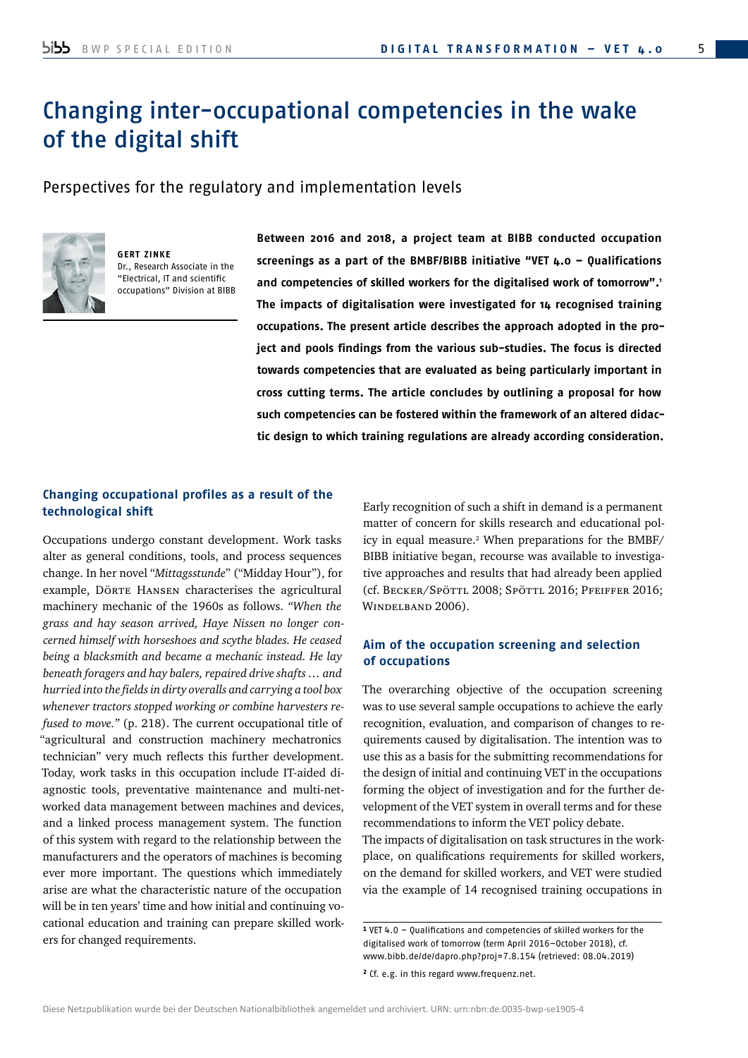# Changing inter-occupational competencies in the wake of the digital shift

Perspectives for the regulatory and implementation levels



**GERT ZINKE** Dr., Research Associate in the "Electrical, IT and scientific occupations" Division at BIBB **Between 2016 and 2018, a project team at BIBB conducted occupation screenings as a part of the BMBF/BIBB initiative "VET 4.0 – Qualifications and competencies of skilled workers for the digitalised work of tomorrow".1 The impacts of digitalisation were investigated for 14 recognised training occupations. The present article describes the approach adopted in the project and pools findings from the various sub-studies. The focus is directed towards competencies that are evaluated as being particularly important in cross cutting terms. The article concludes by outlining a proposal for how such competencies can be fostered within the framework of an altered didactic design to which training regulations are already according consideration.**

## **Changing occupational profiles as a result of the technological shift**

Occupations undergo constant development. Work tasks alter as general conditions, tools, and process sequences change. In her novel "*Mittagsstunde*" ("Midday Hour"), for example, Dörte HANSEN characterises the agricultural machinery mechanic of the 1960s as follows. *"When the grass and hay season arrived, Haye Nissen no longer concerned himself with horseshoes and scythe blades. He ceased being a blacksmith and became a mechanic instead. He lay beneath foragers and hay balers, repaired drive shafts … and hurried into the fields in dirty overalls and carrying a tool box whenever tractors stopped working or combine harvesters refused to move."* (p. 218). The current occupational title of "agricultural and construction machinery mechatronics technician" very much reflects this further development. Today, work tasks in this occupation include IT-aided diagnostic tools, preventative maintenance and multi-networked data management between machines and devices, and a linked process management system. The function of this system with regard to the relationship between the manufacturers and the operators of machines is becoming ever more important. The questions which immediately arise are what the characteristic nature of the occupation will be in ten years' time and how initial and continuing vocational education and training can prepare skilled workers for changed requirements.

Early recognition of such a shift in demand is a permanent matter of concern for skills research and educational policy in equal measure.2 When preparations for the BMBF/ BIBB initiative began, recourse was available to investigative approaches and results that had already been applied (cf. Becker/Spöttl 2008; Spöttl 2016; Pfeiffer 2016; WINDELBAND 2006).

# **Aim of the occupation screening and selection of occupations**

The overarching objective of the occupation screening was to use several sample occupations to achieve the early recognition, evaluation, and comparison of changes to requirements caused by digitalisation. The intention was to use this as a basis for the submitting recommendations for the design of initial and continuing VET in the occupations forming the object of investigation and for the further development of the VET system in overall terms and for these recommendations to inform the VET policy debate. The impacts of digitalisation on task structures in the workplace, on qualifications requirements for skilled workers, on the demand for skilled workers, and VET were studied via the example of 14 recognised training occupations in

<sup>1</sup> VET 4.0 – Qualifications and competencies of skilled workers for the digitalised work of tomorrow (term April 2016–October 2018), cf. www.bibb.de/de/dapro.php?proj=7.8.154 (retrieved: 08.04.2019)

<sup>2</sup> Cf. e.g. in this regard www.frequenz.net.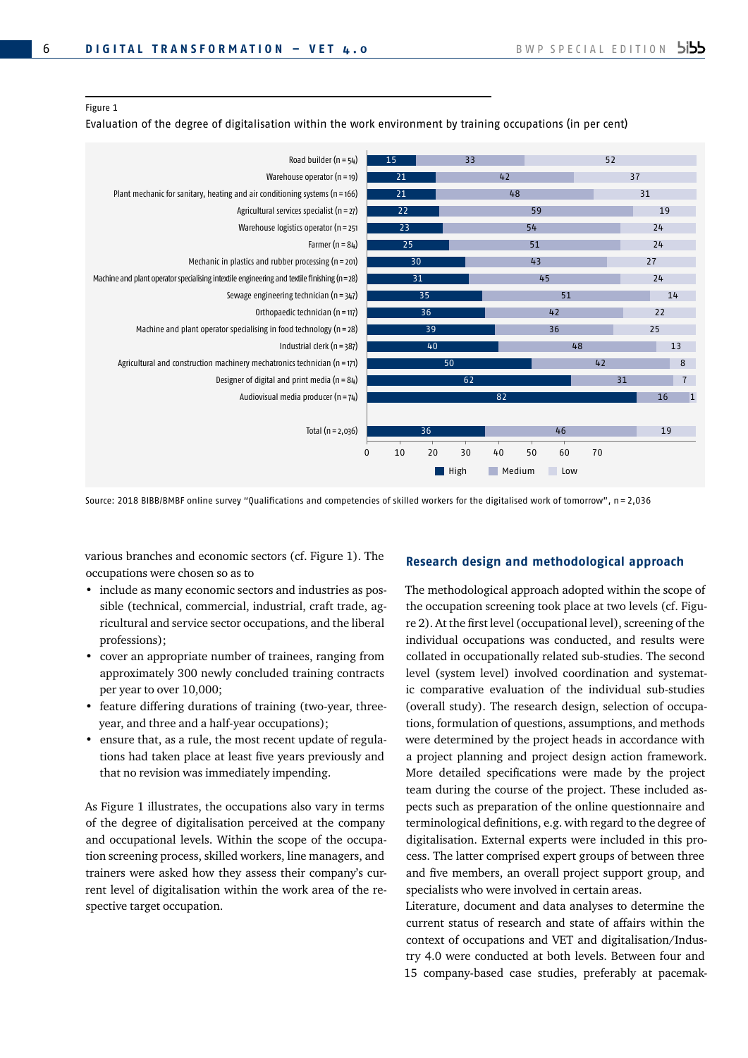### Figure 1

Evaluation of the degree of digitalisation within the work environment by training occupations (in per cent)



Source: 2018 BIBB/BMBF online survey "Qualifications and competencies of skilled workers for the digitalised work of tomorrow", n = 2,036

various branches and economic sectors (cf. Figure 1). The occupations were chosen so as to

- include as many economic sectors and industries as possible (technical, commercial, industrial, craft trade, agricultural and service sector occupations, and the liberal professions);
- cover an appropriate number of trainees, ranging from approximately 300 newly concluded training contracts per year to over 10,000;
- feature differing durations of training (two-year, threeyear, and three and a half-year occupations);
- ensure that, as a rule, the most recent update of regulations had taken place at least five years previously and that no revision was immediately impending.

As Figure 1 illustrates, the occupations also vary in terms of the degree of digitalisation perceived at the company and occupational levels. Within the scope of the occupation screening process, skilled workers, line managers, and trainers were asked how they assess their company's current level of digitalisation within the work area of the respective target occupation.

## **Research design and methodological approach**

The methodological approach adopted within the scope of the occupation screening took place at two levels (cf. Figure 2). At the first level (occupational level), screening of the individual occupations was conducted, and results were collated in occupationally related sub-studies. The second level (system level) involved coordination and systematic comparative evaluation of the individual sub-studies (overall study). The research design, selection of occupations, formulation of questions, assumptions, and methods were determined by the project heads in accordance with a project planning and project design action framework. More detailed specifications were made by the project team during the course of the project. These included aspects such as preparation of the online questionnaire and terminological definitions, e.g. with regard to the degree of digitalisation. External experts were included in this process. The latter comprised expert groups of between three and five members, an overall project support group, and specialists who were involved in certain areas.

Literature, document and data analyses to determine the current status of research and state of affairs within the context of occupations and VET and digitalisation/Industry 4.0 were conducted at both levels. Between four and 15 company-based case studies, preferably at pacemak-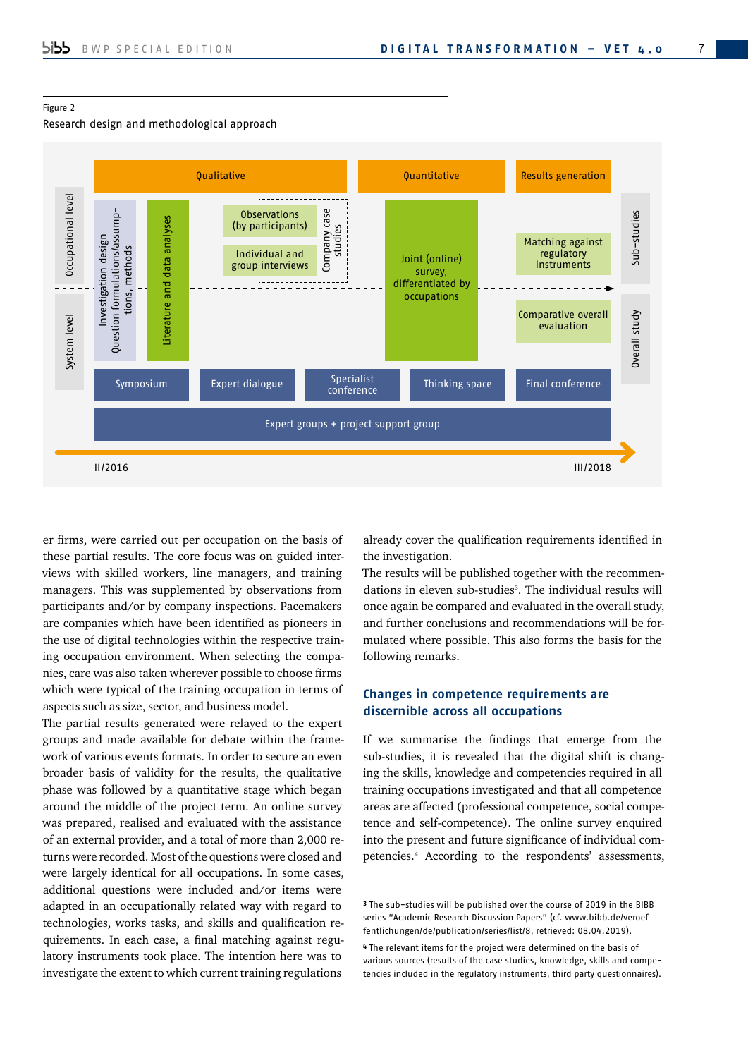## Figure 2

## Research design and methodological approach



er firms, were carried out per occupation on the basis of these partial results. The core focus was on guided interviews with skilled workers, line managers, and training managers. This was supplemented by observations from participants and/or by company inspections. Pacemakers are companies which have been identified as pioneers in the use of digital technologies within the respective training occupation environment. When selecting the companies, care was also taken wherever possible to choose firms which were typical of the training occupation in terms of aspects such as size, sector, and business model.

The partial results generated were relayed to the expert groups and made available for debate within the framework of various events formats. In order to secure an even broader basis of validity for the results, the qualitative phase was followed by a quantitative stage which began around the middle of the project term. An online survey was prepared, realised and evaluated with the assistance of an external provider, and a total of more than 2,000 returns were recorded. Most of the questions were closed and were largely identical for all occupations. In some cases, additional questions were included and/or items were adapted in an occupationally related way with regard to technologies, works tasks, and skills and qualification requirements. In each case, a final matching against regulatory instruments took place. The intention here was to investigate the extent to which current training regulations

already cover the qualification requirements identified in the investigation.

The results will be published together with the recommendations in eleven sub-studies<sup>3</sup>. The individual results will once again be compared and evaluated in the overall study, and further conclusions and recommendations will be formulated where possible. This also forms the basis for the following remarks.

## **Changes in competence requirements are discernible across all occupations**

If we summarise the findings that emerge from the sub-studies, it is revealed that the digital shift is changing the skills, knowledge and competencies required in all training occupations investigated and that all competence areas are affected (professional competence, social competence and self-competence). The online survey enquired into the present and future significance of individual competencies.4 According to the respondents' assessments,

<sup>3</sup> The sub-studies will be published over the course of 2019 in the BIBB [series "Academic Research Discussion Papers" \(cf. www.bibb.de/veroef](http://www.bibb.de/veroeffentlichungen/de/publication/series/list/8) fentlichungen/de/publication/series/list/8, retrieved: 08.04.2019).

<sup>4</sup> The relevant items for the project were determined on the basis of various sources (results of the case studies, knowledge, skills and competencies included in the regulatory instruments, third party questionnaires).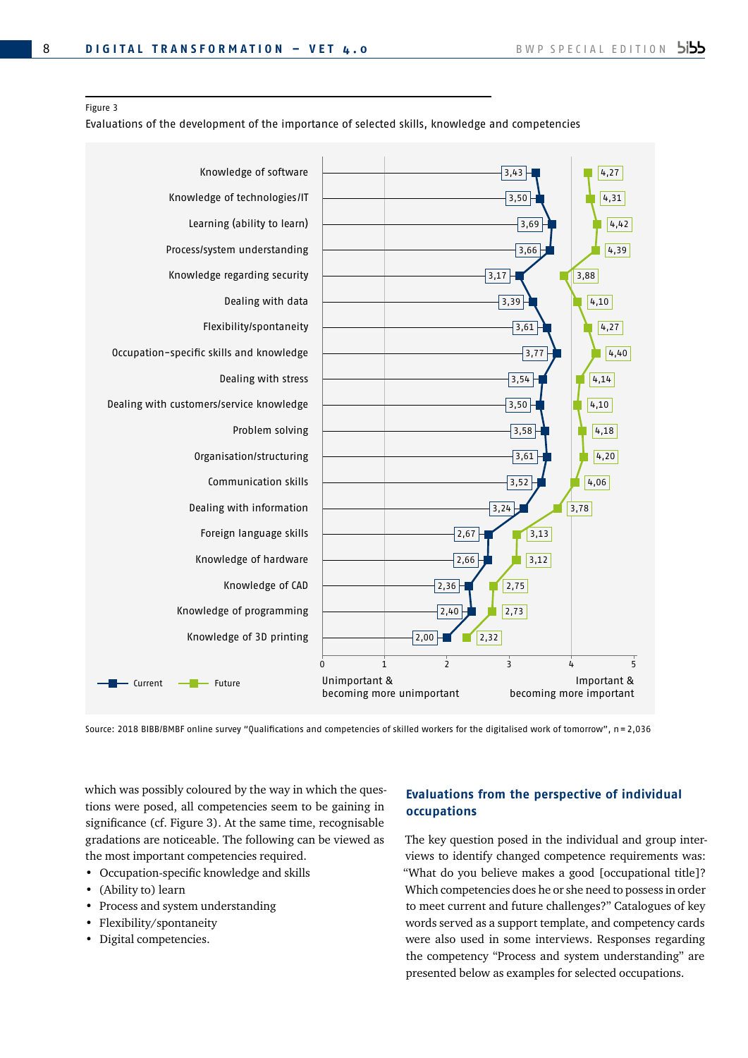### Figure 3

Evaluations of the development of the importance of selected skills, knowledge and competencies



Source: 2018 BIBB/BMBF online survey "Qualifications and competencies of skilled workers for the digitalised work of tomorrow", n = 2,036

which was possibly coloured by the way in which the questions were posed, all competencies seem to be gaining in significance (cf. Figure 3). At the same time, recognisable gradations are noticeable. The following can be viewed as the most important competencies required.

- Occupation-specific knowledge and skills
- (Ability to) learn
- Process and system understanding
- Flexibility/spontaneity
- Digital competencies.

# **Evaluations from the perspective of individual occupations**

The key question posed in the individual and group interviews to identify changed competence requirements was: "What do you believe makes a good [occupational title]? Which competencies does he or she need to possess in order to meet current and future challenges?" Catalogues of key words served as a support template, and competency cards were also used in some interviews. Responses regarding the competency "Process and system understanding" are presented below as examples for selected occupations.